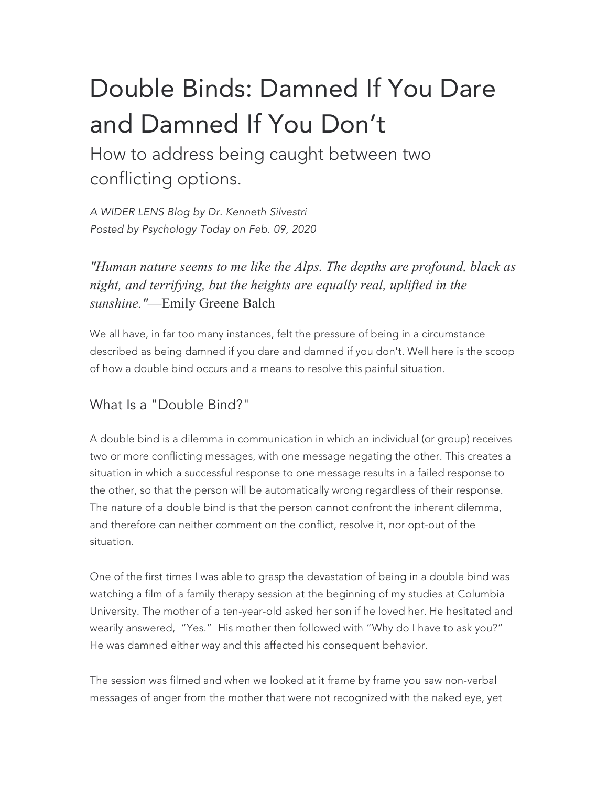# Double Binds: Damned If You Dare and Damned If You Don't

How to address being caught between two conflicting options.

*A WIDER LENS Blog by Dr. Kenneth Silvestri Posted by Psychology Today on Feb. 09, 2020*

*"Human nature seems to me like the Alps. The depths are profound, black as night, and terrifying, but the heights are equally real, uplifted in the sunshine."*—Emily Greene Balch

We all have, in far too many instances, felt the pressure of being in a circumstance described as being damned if you dare and damned if you don't. Well here is the scoop of how a double bind occurs and a means to resolve this painful situation.

## What Is a "Double Bind?"

A double bind is a dilemma in communication in which an individual (or group) receives two or more conflicting messages, with one message negating the other. This creates a situation in which a successful response to one message results in a failed response to the other, so that the person will be automatically wrong regardless of their response. The nature of a double bind is that the person cannot confront the inherent dilemma, and therefore can neither comment on the conflict, resolve it, nor opt-out of the situation.

One of the first times I was able to grasp the devastation of being in a double bind was watching a film of a family therapy session at the beginning of my studies at Columbia University. The mother of a ten-year-old asked her son if he loved her. He hesitated and wearily answered, "Yes." His mother then followed with "Why do I have to ask you?" He was damned either way and this affected his consequent behavior.

The session was filmed and when we looked at it frame by frame you saw non-verbal messages of anger from the mother that were not recognized with the naked eye, yet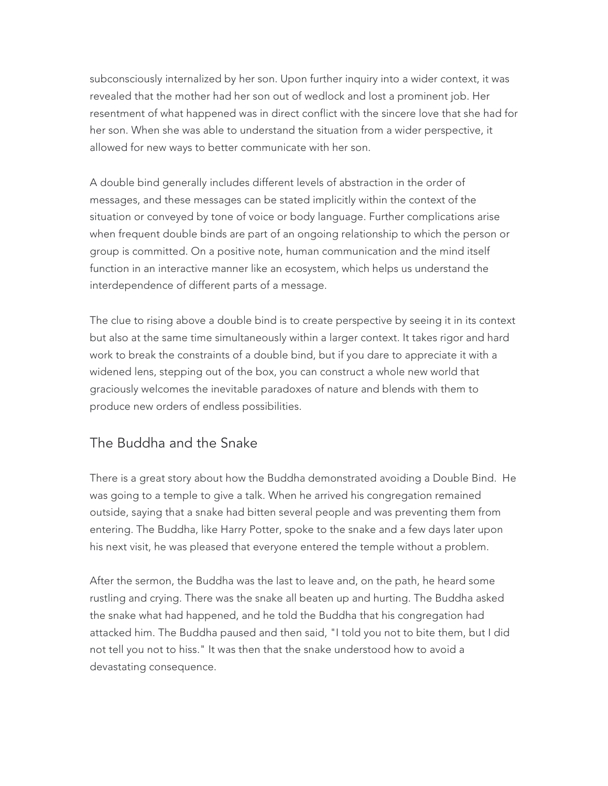subconsciously internalized by her son. Upon further inquiry into a wider context, it was revealed that the mother had her son out of wedlock and lost a prominent job. Her resentment of what happened was in direct conflict with the sincere love that she had for her son. When she was able to understand the situation from a wider perspective, it allowed for new ways to better communicate with her son.

A double bind generally includes different levels of abstraction in the order of messages, and these messages can be stated implicitly within the context of the situation or conveyed by tone of voice or body language. Further complications arise when frequent double binds are part of an ongoing relationship to which the person or group is committed. On a positive note, human communication and the mind itself function in an interactive manner like an ecosystem, which helps us understand the interdependence of different parts of a message.

The clue to rising above a double bind is to create perspective by seeing it in its context but also at the same time simultaneously within a larger context. It takes rigor and hard work to break the constraints of a double bind, but if you dare to appreciate it with a widened lens, stepping out of the box, you can construct a whole new world that graciously welcomes the inevitable paradoxes of nature and blends with them to produce new orders of endless possibilities.

#### The Buddha and the Snake

There is a great story about how the Buddha demonstrated avoiding a Double Bind. He was going to a temple to give a talk. When he arrived his congregation remained outside, saying that a snake had bitten several people and was preventing them from entering. The Buddha, like Harry Potter, spoke to the snake and a few days later upon his next visit, he was pleased that everyone entered the temple without a problem.

After the sermon, the Buddha was the last to leave and, on the path, he heard some rustling and crying. There was the snake all beaten up and hurting. The Buddha asked the snake what had happened, and he told the Buddha that his congregation had attacked him. The Buddha paused and then said, "I told you not to bite them, but I did not tell you not to hiss." It was then that the snake understood how to avoid a devastating consequence.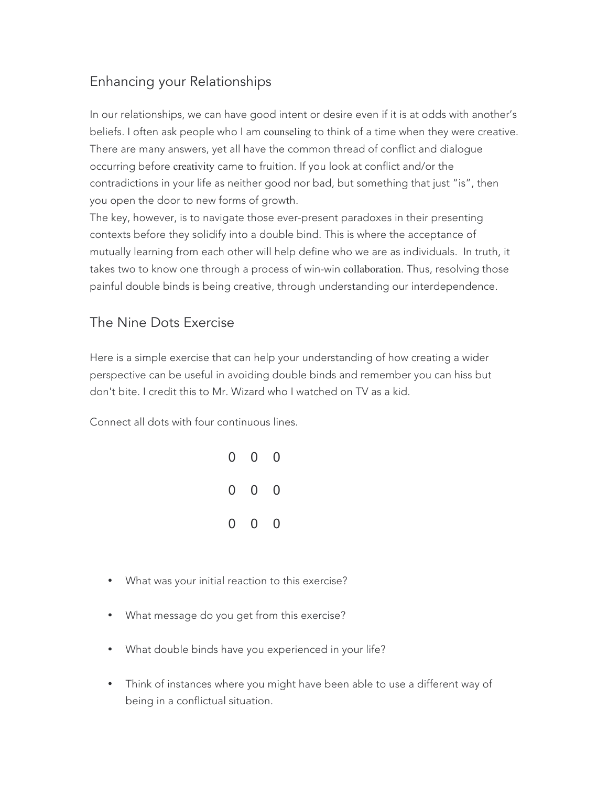## Enhancing your Relationships

In our relationships, we can have good intent or desire even if it is at odds with another's beliefs. I often ask people who I am counseling to think of a time when they were creative. There are many answers, yet all have the common thread of conflict and dialogue occurring before creativity came to fruition. If you look at conflict and/or the contradictions in your life as neither good nor bad, but something that just "is", then you open the door to new forms of growth.

The key, however, is to navigate those ever-present paradoxes in their presenting contexts before they solidify into a double bind. This is where the acceptance of mutually learning from each other will help define who we are as individuals. In truth, it takes two to know one through a process of win-win collaboration. Thus, resolving those painful double binds is being creative, through understanding our interdependence.

### The Nine Dots Exercise

Here is a simple exercise that can help your understanding of how creating a wider perspective can be useful in avoiding double binds and remember you can hiss but don't bite. I credit this to Mr. Wizard who I watched on TV as a kid.

Connect all dots with four continuous lines.

| $0\quad 0\quad 0$                       |  |
|-----------------------------------------|--|
| $\begin{matrix} 0 & 0 & 0 \end{matrix}$ |  |
| $\begin{matrix} 0 & 0 & 0 \end{matrix}$ |  |

- What was your initial reaction to this exercise?
- What message do you get from this exercise?
- What double binds have you experienced in your life?
- Think of instances where you might have been able to use a different way of being in a conflictual situation.